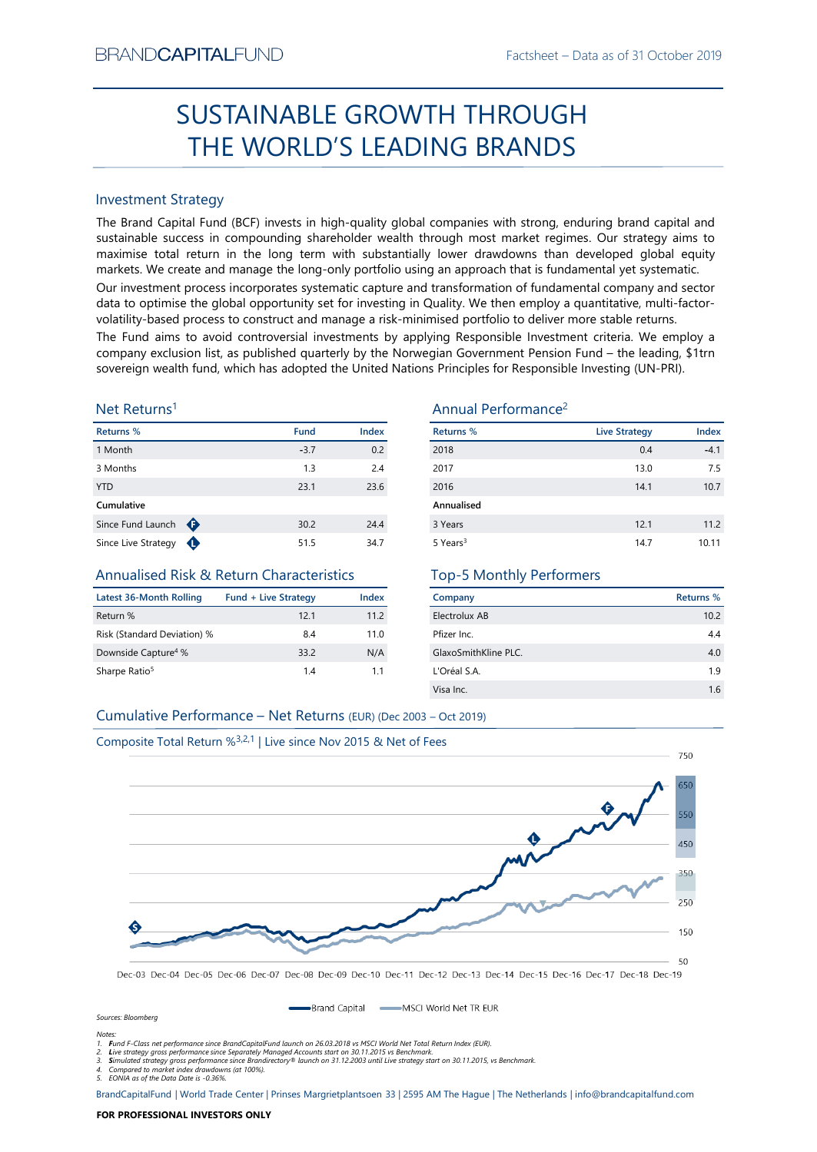# SUSTAINABLE GROWTH THROUGH THE WORLD'S LEADING BRANDS

#### Investment Strategy

The Brand Capital Fund (BCF) invests in high-quality global companies with strong, enduring brand capital and sustainable success in compounding shareholder wealth through most market regimes. Our strategy aims to maximise total return in the long term with substantially lower drawdowns than developed global equity markets. We create and manage the long-only portfolio using an approach that is fundamental yet systematic.

Our investment process incorporates systematic capture and transformation of fundamental company and sector data to optimise the global opportunity set for investing in Quality. We then employ a quantitative, multi-factorvolatility-based process to construct and manage a risk-minimised portfolio to deliver more stable returns.

The Fund aims to avoid controversial investments by applying Responsible Investment criteria. We employ a company exclusion list, as published quarterly by the Norwegian Government Pension Fund – the leading, \$1trn sovereign wealth fund, which has adopted the United Nations Principles for Responsible Investing (UN-PRI).

#### Net Returns<sup>1</sup>

| Returns %           |   | Fund   | <b>Index</b> |
|---------------------|---|--------|--------------|
| 1 Month             |   | $-3.7$ | 0.2          |
| 3 Months            |   | 1.3    | 2.4          |
| <b>YTD</b>          |   | 23.1   | 23.6         |
| Cumulative          |   |        |              |
| Since Fund Launch   | ⊕ | 30.2   | 24.4         |
| Since Live Strategy |   | 51.5   | 34.7         |

#### Annualised Risk & Return Characteristics

| Latest 36-Month Rolling         | <b>Fund + Live Strategy</b> | Index |
|---------------------------------|-----------------------------|-------|
| Return %                        | 121                         | 11.2  |
| Risk (Standard Deviation) %     | 8.4                         | 11.0  |
| Downside Capture <sup>4</sup> % | 33.2                        | N/A   |
| Sharpe Ratio <sup>5</sup>       | 14                          | 11    |

## Annual Performance<sup>2</sup>

| Returns %            | <b>Live Strategy</b> | <b>Index</b> |
|----------------------|----------------------|--------------|
| 2018                 | 0.4                  | $-4.1$       |
| 2017                 | 13.0                 | 7.5          |
| 2016                 | 14.1                 | 10.7         |
| Annualised           |                      |              |
| 3 Years              | 12.1                 | 11.2         |
| 5 Years <sup>3</sup> | 14.7                 | 10.11        |

### Top-5 Monthly Performers

| Company              | Returns % |
|----------------------|-----------|
| Electrolux AB        | 10.2      |
| Pfizer Inc.          | 4.4       |
| GlaxoSmithKline PLC. | 4.0       |
| L'Oréal S.A.         | 1.9       |
| Visa Inc.            | 1.6       |
|                      |           |

#### Cumulative Performance – Net Returns (EUR) (Dec 2003 – Oct 2019)



Dec-03 Dec-04 Dec-05 Dec-06 Dec-07 Dec-08 Dec-09 Dec-10 Dec-11 Dec-12 Dec-13 Dec-14 Dec-15 Dec-16 Dec-17 Dec-18 Dec-19

Brand Capital - MSCI World Net TR EUR

*Sources: Bloomberg Notes:*

*1. Fund F-Class net performance since BrandCapitalFund launch on 26.03.2018 vs MSCI World Net Total Return Index (EUR).*

2. Live strategy gross performance since Separately Managed Accounts start on 30.11.2015 vs Benchmark.<br>3. Simulated strategy gross performance since Brandirectory® launch on 31.12.2003 until Live strategy start on 30.11.20

*4. Compared to market index drawdowns (at 100%). 5. EONIA as of the Data Date is -0.36%.*

BrandCapitalFund | World Trade Center | Prinses Margrietplantsoen 33 | 2595 AM The Hague | The Netherlands | info@brandcapitalfund.com